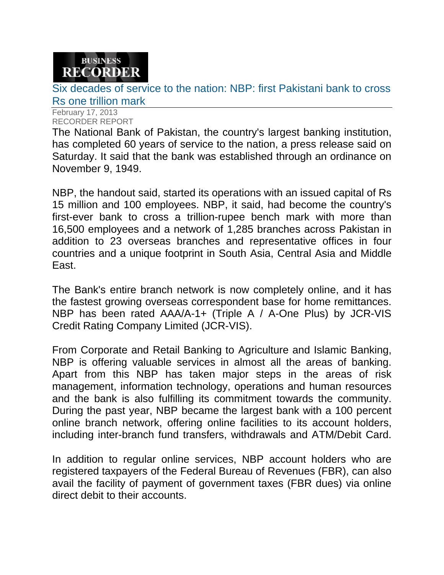## **BUSINESS RECORDER**

Six decades of service to the nation: NBP: first Pakistani bank to cross Rs one trillion mark

February 17, 2013 RECORDER REPORT

The National Bank of Pakistan, the country's largest banking institution, has completed 60 years of service to the nation, a press release said on Saturday. It said that the bank was established through an ordinance on November 9, 1949.

NBP, the handout said, started its operations with an issued capital of Rs 15 million and 100 employees. NBP, it said, had become the country's first-ever bank to cross a trillion-rupee bench mark with more than 16,500 employees and a network of 1,285 branches across Pakistan in addition to 23 overseas branches and representative offices in four countries and a unique footprint in South Asia, Central Asia and Middle East.

The Bank's entire branch network is now completely online, and it has the fastest growing overseas correspondent base for home remittances. NBP has been rated AAA/A-1+ (Triple A / A-One Plus) by JCR-VIS Credit Rating Company Limited (JCR-VIS).

From Corporate and Retail Banking to Agriculture and Islamic Banking, NBP is offering valuable services in almost all the areas of banking. Apart from this NBP has taken major steps in the areas of risk management, information technology, operations and human resources and the bank is also fulfilling its commitment towards the community. During the past year, NBP became the largest bank with a 100 percent online branch network, offering online facilities to its account holders, including inter-branch fund transfers, withdrawals and ATM/Debit Card.

In addition to regular online services, NBP account holders who are registered taxpayers of the Federal Bureau of Revenues (FBR), can also avail the facility of payment of government taxes (FBR dues) via online direct debit to their accounts.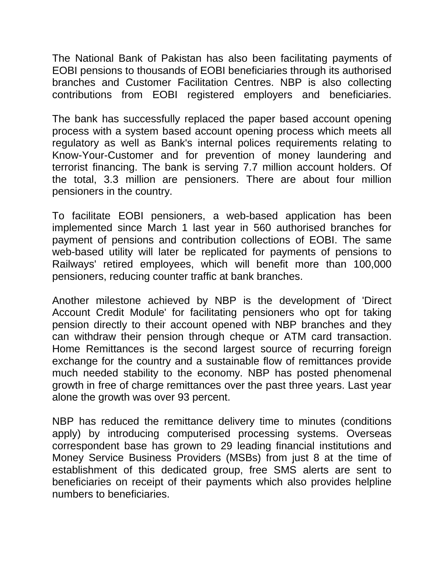The National Bank of Pakistan has also been facilitating payments of EOBI pensions to thousands of EOBI beneficiaries through its authorised branches and Customer Facilitation Centres. NBP is also collecting contributions from EOBI registered employers and beneficiaries.

The bank has successfully replaced the paper based account opening process with a system based account opening process which meets all regulatory as well as Bank's internal polices requirements relating to Know-Your-Customer and for prevention of money laundering and terrorist financing. The bank is serving 7.7 million account holders. Of the total, 3.3 million are pensioners. There are about four million pensioners in the country.

To facilitate EOBI pensioners, a web-based application has been implemented since March 1 last year in 560 authorised branches for payment of pensions and contribution collections of EOBI. The same web-based utility will later be replicated for payments of pensions to Railways' retired employees, which will benefit more than 100,000 pensioners, reducing counter traffic at bank branches.

Another milestone achieved by NBP is the development of 'Direct Account Credit Module' for facilitating pensioners who opt for taking pension directly to their account opened with NBP branches and they can withdraw their pension through cheque or ATM card transaction. Home Remittances is the second largest source of recurring foreign exchange for the country and a sustainable flow of remittances provide much needed stability to the economy. NBP has posted phenomenal growth in free of charge remittances over the past three years. Last year alone the growth was over 93 percent.

NBP has reduced the remittance delivery time to minutes (conditions apply) by introducing computerised processing systems. Overseas correspondent base has grown to 29 leading financial institutions and Money Service Business Providers (MSBs) from just 8 at the time of establishment of this dedicated group, free SMS alerts are sent to beneficiaries on receipt of their payments which also provides helpline numbers to beneficiaries.